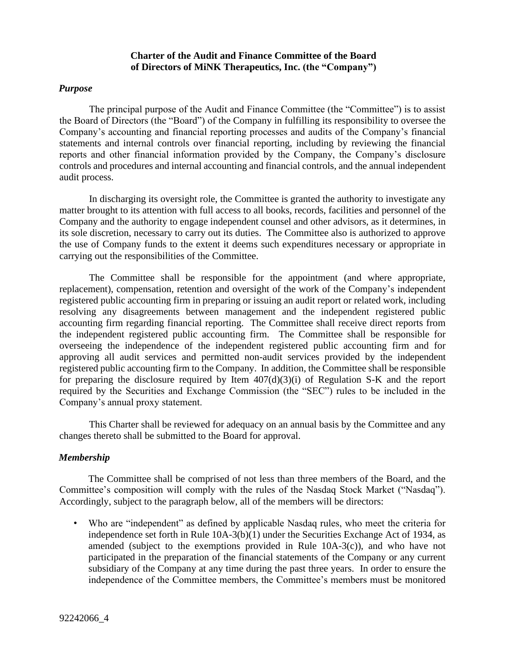# **Charter of the Audit and Finance Committee of the Board of Directors of MiNK Therapeutics, Inc. (the "Company")**

#### *Purpose*

The principal purpose of the Audit and Finance Committee (the "Committee") is to assist the Board of Directors (the "Board") of the Company in fulfilling its responsibility to oversee the Company's accounting and financial reporting processes and audits of the Company's financial statements and internal controls over financial reporting, including by reviewing the financial reports and other financial information provided by the Company, the Company's disclosure controls and procedures and internal accounting and financial controls, and the annual independent audit process.

In discharging its oversight role, the Committee is granted the authority to investigate any matter brought to its attention with full access to all books, records, facilities and personnel of the Company and the authority to engage independent counsel and other advisors, as it determines, in its sole discretion, necessary to carry out its duties. The Committee also is authorized to approve the use of Company funds to the extent it deems such expenditures necessary or appropriate in carrying out the responsibilities of the Committee.

The Committee shall be responsible for the appointment (and where appropriate, replacement), compensation, retention and oversight of the work of the Company's independent registered public accounting firm in preparing or issuing an audit report or related work, including resolving any disagreements between management and the independent registered public accounting firm regarding financial reporting. The Committee shall receive direct reports from the independent registered public accounting firm. The Committee shall be responsible for overseeing the independence of the independent registered public accounting firm and for approving all audit services and permitted non-audit services provided by the independent registered public accounting firm to the Company. In addition, the Committee shall be responsible for preparing the disclosure required by Item  $407(d)(3)(i)$  of Regulation S-K and the report required by the Securities and Exchange Commission (the "SEC") rules to be included in the Company's annual proxy statement.

This Charter shall be reviewed for adequacy on an annual basis by the Committee and any changes thereto shall be submitted to the Board for approval.

# *Membership*

The Committee shall be comprised of not less than three members of the Board, and the Committee's composition will comply with the rules of the Nasdaq Stock Market ("Nasdaq"). Accordingly, subject to the paragraph below, all of the members will be directors:

• Who are "independent" as defined by applicable Nasdaq rules, who meet the criteria for independence set forth in Rule 10A-3(b)(1) under the Securities Exchange Act of 1934, as amended (subject to the exemptions provided in Rule 10A-3(c)), and who have not participated in the preparation of the financial statements of the Company or any current subsidiary of the Company at any time during the past three years. In order to ensure the independence of the Committee members, the Committee's members must be monitored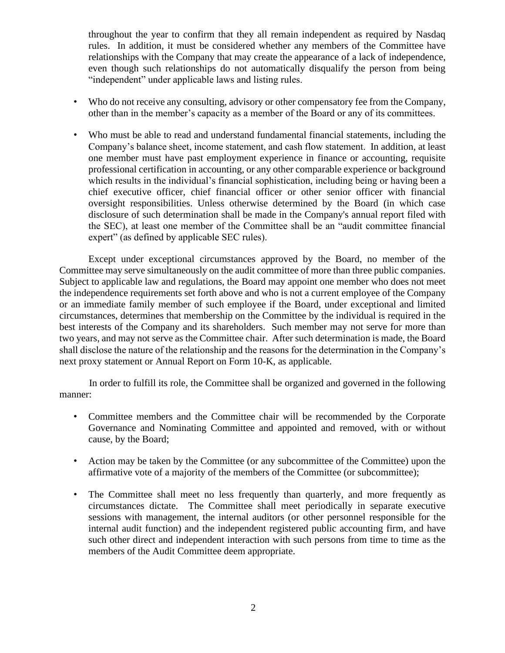throughout the year to confirm that they all remain independent as required by Nasdaq rules. In addition, it must be considered whether any members of the Committee have relationships with the Company that may create the appearance of a lack of independence, even though such relationships do not automatically disqualify the person from being "independent" under applicable laws and listing rules.

- Who do not receive any consulting, advisory or other compensatory fee from the Company, other than in the member's capacity as a member of the Board or any of its committees.
- Who must be able to read and understand fundamental financial statements, including the Company's balance sheet, income statement, and cash flow statement. In addition, at least one member must have past employment experience in finance or accounting, requisite professional certification in accounting, or any other comparable experience or background which results in the individual's financial sophistication, including being or having been a chief executive officer, chief financial officer or other senior officer with financial oversight responsibilities. Unless otherwise determined by the Board (in which case disclosure of such determination shall be made in the Company's annual report filed with the SEC), at least one member of the Committee shall be an "audit committee financial expert" (as defined by applicable SEC rules).

Except under exceptional circumstances approved by the Board, no member of the Committee may serve simultaneously on the audit committee of more than three public companies. Subject to applicable law and regulations, the Board may appoint one member who does not meet the independence requirements set forth above and who is not a current employee of the Company or an immediate family member of such employee if the Board, under exceptional and limited circumstances, determines that membership on the Committee by the individual is required in the best interests of the Company and its shareholders. Such member may not serve for more than two years, and may not serve as the Committee chair. After such determination is made, the Board shall disclose the nature of the relationship and the reasons for the determination in the Company's next proxy statement or Annual Report on Form 10-K, as applicable.

In order to fulfill its role, the Committee shall be organized and governed in the following manner:

- Committee members and the Committee chair will be recommended by the Corporate Governance and Nominating Committee and appointed and removed, with or without cause, by the Board;
- Action may be taken by the Committee (or any subcommittee of the Committee) upon the affirmative vote of a majority of the members of the Committee (or subcommittee);
- The Committee shall meet no less frequently than quarterly, and more frequently as circumstances dictate. The Committee shall meet periodically in separate executive sessions with management, the internal auditors (or other personnel responsible for the internal audit function) and the independent registered public accounting firm, and have such other direct and independent interaction with such persons from time to time as the members of the Audit Committee deem appropriate.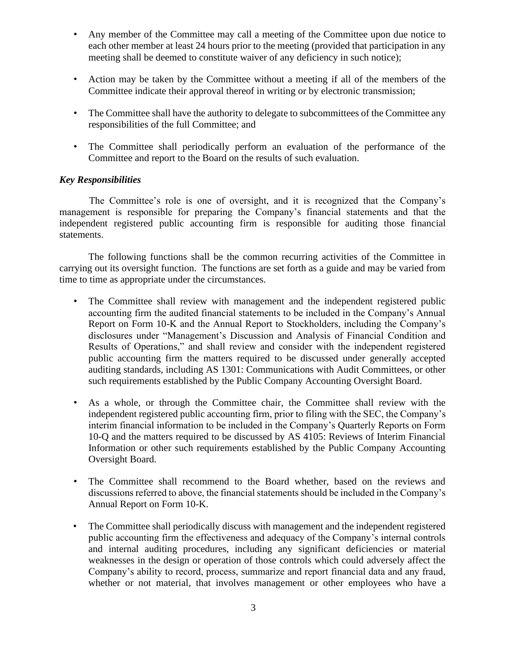- Any member of the Committee may call a meeting of the Committee upon due notice to each other member at least 24 hours prior to the meeting (provided that participation in any meeting shall be deemed to constitute waiver of any deficiency in such notice);
- Action may be taken by the Committee without a meeting if all of the members of the Committee indicate their approval thereof in writing or by electronic transmission;
- The Committee shall have the authority to delegate to subcommittees of the Committee any responsibilities of the full Committee; and
- The Committee shall periodically perform an evaluation of the performance of the Committee and report to the Board on the results of such evaluation.

# *Key Responsibilities*

The Committee's role is one of oversight, and it is recognized that the Company's management is responsible for preparing the Company's financial statements and that the independent registered public accounting firm is responsible for auditing those financial statements.

The following functions shall be the common recurring activities of the Committee in carrying out its oversight function. The functions are set forth as a guide and may be varied from time to time as appropriate under the circumstances.

- The Committee shall review with management and the independent registered public accounting firm the audited financial statements to be included in the Company's Annual Report on Form 10-K and the Annual Report to Stockholders, including the Company's disclosures under "Management's Discussion and Analysis of Financial Condition and Results of Operations," and shall review and consider with the independent registered public accounting firm the matters required to be discussed under generally accepted auditing standards, including AS 1301: Communications with Audit Committees, or other such requirements established by the Public Company Accounting Oversight Board.
- As a whole, or through the Committee chair, the Committee shall review with the independent registered public accounting firm, prior to filing with the SEC, the Company's interim financial information to be included in the Company's Quarterly Reports on Form 10-Q and the matters required to be discussed by AS 4105: Reviews of Interim Financial Information or other such requirements established by the Public Company Accounting Oversight Board.
- The Committee shall recommend to the Board whether, based on the reviews and discussions referred to above, the financial statements should be included in the Company's Annual Report on Form 10-K.
- The Committee shall periodically discuss with management and the independent registered public accounting firm the effectiveness and adequacy of the Company's internal controls and internal auditing procedures, including any significant deficiencies or material weaknesses in the design or operation of those controls which could adversely affect the Company's ability to record, process, summarize and report financial data and any fraud, whether or not material, that involves management or other employees who have a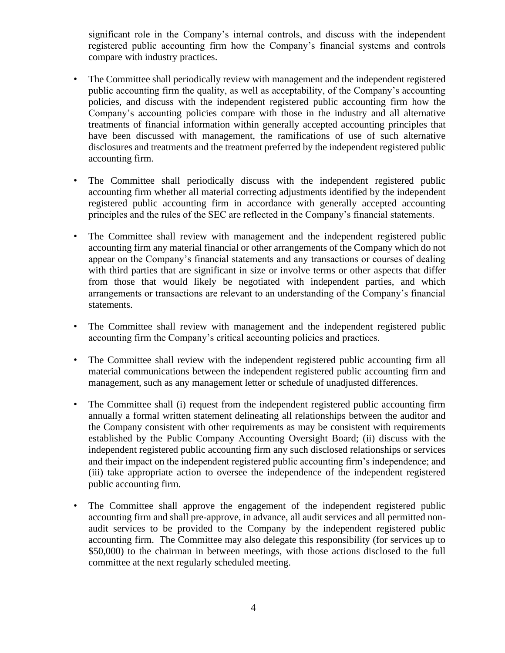significant role in the Company's internal controls, and discuss with the independent registered public accounting firm how the Company's financial systems and controls compare with industry practices.

- The Committee shall periodically review with management and the independent registered public accounting firm the quality, as well as acceptability, of the Company's accounting policies, and discuss with the independent registered public accounting firm how the Company's accounting policies compare with those in the industry and all alternative treatments of financial information within generally accepted accounting principles that have been discussed with management, the ramifications of use of such alternative disclosures and treatments and the treatment preferred by the independent registered public accounting firm.
- The Committee shall periodically discuss with the independent registered public accounting firm whether all material correcting adjustments identified by the independent registered public accounting firm in accordance with generally accepted accounting principles and the rules of the SEC are reflected in the Company's financial statements.
- The Committee shall review with management and the independent registered public accounting firm any material financial or other arrangements of the Company which do not appear on the Company's financial statements and any transactions or courses of dealing with third parties that are significant in size or involve terms or other aspects that differ from those that would likely be negotiated with independent parties, and which arrangements or transactions are relevant to an understanding of the Company's financial statements.
- The Committee shall review with management and the independent registered public accounting firm the Company's critical accounting policies and practices.
- The Committee shall review with the independent registered public accounting firm all material communications between the independent registered public accounting firm and management, such as any management letter or schedule of unadjusted differences.
- The Committee shall (i) request from the independent registered public accounting firm annually a formal written statement delineating all relationships between the auditor and the Company consistent with other requirements as may be consistent with requirements established by the Public Company Accounting Oversight Board; (ii) discuss with the independent registered public accounting firm any such disclosed relationships or services and their impact on the independent registered public accounting firm's independence; and (iii) take appropriate action to oversee the independence of the independent registered public accounting firm.
- The Committee shall approve the engagement of the independent registered public accounting firm and shall pre-approve, in advance, all audit services and all permitted nonaudit services to be provided to the Company by the independent registered public accounting firm. The Committee may also delegate this responsibility (for services up to \$50,000) to the chairman in between meetings, with those actions disclosed to the full committee at the next regularly scheduled meeting.